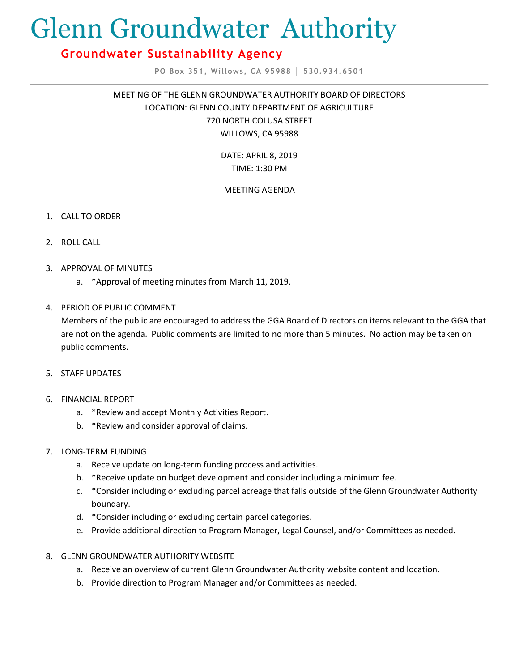# Glenn Groundwater Authority

## **Groundwater Sustainability Agency**

**PO Box 351, Willows, CA 95988 │ 530.934.6501**

MEETING OF THE GLENN GROUNDWATER AUTHORITY BOARD OF DIRECTORS LOCATION: GLENN COUNTY DEPARTMENT OF AGRICULTURE 720 NORTH COLUSA STREET WILLOWS, CA 95988

> DATE: APRIL 8, 2019 TIME: 1:30 PM

### MEETING AGENDA

- 1. CALL TO ORDER
- 2. ROLL CALL
- 3. APPROVAL OF MINUTES
	- a. \*Approval of meeting minutes from March 11, 2019.

#### 4. PERIOD OF PUBLIC COMMENT

Members of the public are encouraged to address the GGA Board of Directors on items relevant to the GGA that are not on the agenda. Public comments are limited to no more than 5 minutes. No action may be taken on public comments.

- 5. STAFF UPDATES
- 6. FINANCIAL REPORT
	- a. \*Review and accept Monthly Activities Report.
	- b. \*Review and consider approval of claims.
- 7. LONG-TERM FUNDING
	- a. Receive update on long-term funding process and activities.
	- b. \*Receive update on budget development and consider including a minimum fee.
	- c. \*Consider including or excluding parcel acreage that falls outside of the Glenn Groundwater Authority boundary.
	- d. \*Consider including or excluding certain parcel categories.
	- e. Provide additional direction to Program Manager, Legal Counsel, and/or Committees as needed.
- 8. GLENN GROUNDWATER AUTHORITY WEBSITE
	- a. Receive an overview of current Glenn Groundwater Authority website content and location.
	- b. Provide direction to Program Manager and/or Committees as needed.